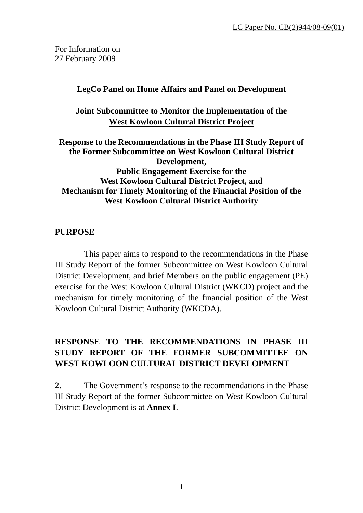For Information on 27 February 2009

### **LegCo Panel on Home Affairs and Panel on Development**

## **Joint Subcommittee to Monitor the Implementation of the West Kowloon Cultural District Project**

**Response to the Recommendations in the Phase III Study Report of the Former Subcommittee on West Kowloon Cultural District Development, Public Engagement Exercise for the West Kowloon Cultural District Project, and Mechanism for Timely Monitoring of the Financial Position of the West Kowloon Cultural District Authority** 

#### **PURPOSE**

 This paper aims to respond to the recommendations in the Phase III Study Report of the former Subcommittee on West Kowloon Cultural District Development, and brief Members on the public engagement (PE) exercise for the West Kowloon Cultural District (WKCD) project and the mechanism for timely monitoring of the financial position of the West Kowloon Cultural District Authority (WKCDA).

# **RESPONSE TO THE RECOMMENDATIONS IN PHASE III STUDY REPORT OF THE FORMER SUBCOMMITTEE ON WEST KOWLOON CULTURAL DISTRICT DEVELOPMENT**

2. The Government's response to the recommendations in the Phase III Study Report of the former Subcommittee on West Kowloon Cultural District Development is at **Annex I**.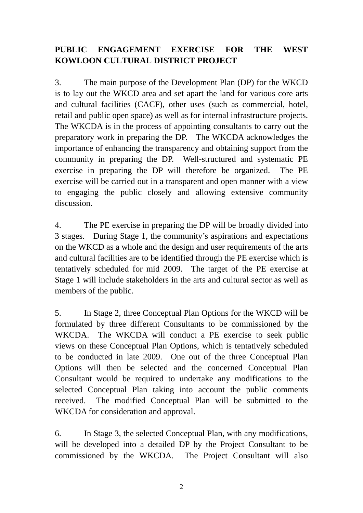# **PUBLIC ENGAGEMENT EXERCISE FOR THE WEST KOWLOON CULTURAL DISTRICT PROJECT**

3. The main purpose of the Development Plan (DP) for the WKCD is to lay out the WKCD area and set apart the land for various core arts and cultural facilities (CACF), other uses (such as commercial, hotel, retail and public open space) as well as for internal infrastructure projects. The WKCDA is in the process of appointing consultants to carry out the preparatory work in preparing the DP. The WKCDA acknowledges the importance of enhancing the transparency and obtaining support from the community in preparing the DP. Well-structured and systematic PE exercise in preparing the DP will therefore be organized. The PE exercise will be carried out in a transparent and open manner with a view to engaging the public closely and allowing extensive community discussion.

4. The PE exercise in preparing the DP will be broadly divided into 3 stages. During Stage 1, the community's aspirations and expectations on the WKCD as a whole and the design and user requirements of the arts and cultural facilities are to be identified through the PE exercise which is tentatively scheduled for mid 2009. The target of the PE exercise at Stage 1 will include stakeholders in the arts and cultural sector as well as members of the public.

5. In Stage 2, three Conceptual Plan Options for the WKCD will be formulated by three different Consultants to be commissioned by the WKCDA. The WKCDA will conduct a PE exercise to seek public views on these Conceptual Plan Options, which is tentatively scheduled to be conducted in late 2009. One out of the three Conceptual Plan Options will then be selected and the concerned Conceptual Plan Consultant would be required to undertake any modifications to the selected Conceptual Plan taking into account the public comments received. The modified Conceptual Plan will be submitted to the WKCDA for consideration and approval.

6. In Stage 3, the selected Conceptual Plan, with any modifications, will be developed into a detailed DP by the Project Consultant to be commissioned by the WKCDA. The Project Consultant will also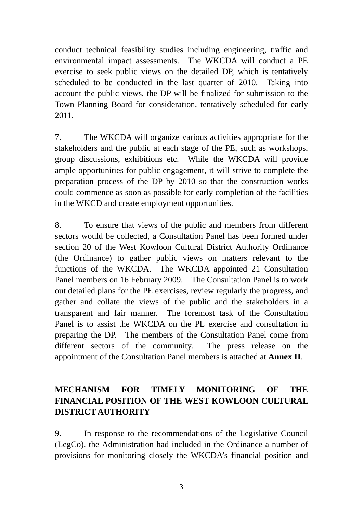conduct technical feasibility studies including engineering, traffic and environmental impact assessments. The WKCDA will conduct a PE exercise to seek public views on the detailed DP, which is tentatively scheduled to be conducted in the last quarter of 2010. Taking into account the public views, the DP will be finalized for submission to the Town Planning Board for consideration, tentatively scheduled for early 2011.

7. The WKCDA will organize various activities appropriate for the stakeholders and the public at each stage of the PE, such as workshops, group discussions, exhibitions etc. While the WKCDA will provide ample opportunities for public engagement, it will strive to complete the preparation process of the DP by 2010 so that the construction works could commence as soon as possible for early completion of the facilities in the WKCD and create employment opportunities.

8. To ensure that views of the public and members from different sectors would be collected, a Consultation Panel has been formed under section 20 of the West Kowloon Cultural District Authority Ordinance (the Ordinance) to gather public views on matters relevant to the functions of the WKCDA. The WKCDA appointed 21 Consultation Panel members on 16 February 2009. The Consultation Panel is to work out detailed plans for the PE exercises, review regularly the progress, and gather and collate the views of the public and the stakeholders in a transparent and fair manner. The foremost task of the Consultation Panel is to assist the WKCDA on the PE exercise and consultation in preparing the DP. The members of the Consultation Panel come from different sectors of the community. The press release on the appointment of the Consultation Panel members is attached at **Annex II**.

# **MECHANISM FOR TIMELY MONITORING OF THE FINANCIAL POSITION OF THE WEST KOWLOON CULTURAL DISTRICT AUTHORITY**

9. In response to the recommendations of the Legislative Council (LegCo), the Administration had included in the Ordinance a number of provisions for monitoring closely the WKCDA's financial position and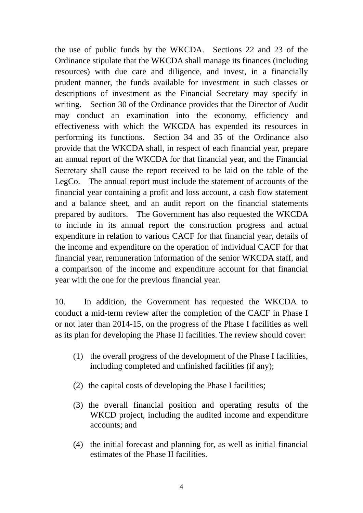the use of public funds by the WKCDA. Sections 22 and 23 of the Ordinance stipulate that the WKCDA shall manage its finances (including resources) with due care and diligence, and invest, in a financially prudent manner, the funds available for investment in such classes or descriptions of investment as the Financial Secretary may specify in writing. Section 30 of the Ordinance provides that the Director of Audit may conduct an examination into the economy, efficiency and effectiveness with which the WKCDA has expended its resources in performing its functions. Section 34 and 35 of the Ordinance also provide that the WKCDA shall, in respect of each financial year, prepare an annual report of the WKCDA for that financial year, and the Financial Secretary shall cause the report received to be laid on the table of the LegCo. The annual report must include the statement of accounts of the financial year containing a profit and loss account, a cash flow statement and a balance sheet, and an audit report on the financial statements prepared by auditors. The Government has also requested the WKCDA to include in its annual report the construction progress and actual expenditure in relation to various CACF for that financial year, details of the income and expenditure on the operation of individual CACF for that financial year, remuneration information of the senior WKCDA staff, and a comparison of the income and expenditure account for that financial year with the one for the previous financial year.

10. In addition, the Government has requested the WKCDA to conduct a mid-term review after the completion of the CACF in Phase I or not later than 2014-15, on the progress of the Phase I facilities as well as its plan for developing the Phase II facilities. The review should cover:

- (1) the overall progress of the development of the Phase I facilities, including completed and unfinished facilities (if any);
- (2) the capital costs of developing the Phase I facilities;
- (3) the overall financial position and operating results of the WKCD project, including the audited income and expenditure accounts; and
- (4) the initial forecast and planning for, as well as initial financial estimates of the Phase II facilities.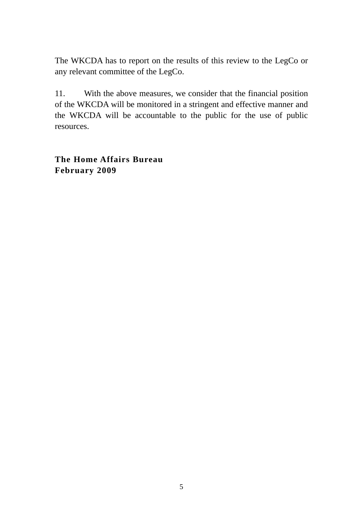The WKCDA has to report on the results of this review to the LegCo or any relevant committee of the LegCo.

11. With the above measures, we consider that the financial position of the WKCDA will be monitored in a stringent and effective manner and the WKCDA will be accountable to the public for the use of public resources.

**The Home Affairs Bureau February 2009**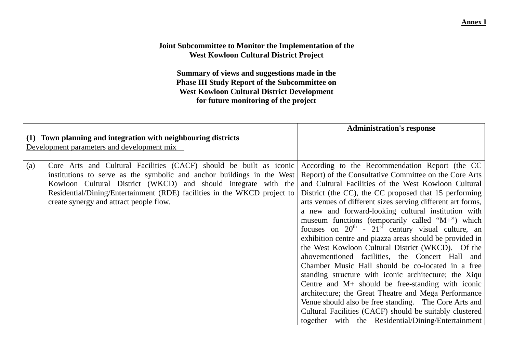#### **Annex I**

#### **Joint Subcommittee to Monitor the Implementation of the West Kowloon Cultural District Project**

**Summary of views and suggestions made in the Phase III Study Report of the Subcommittee on West Kowloon Cultural District Development for future monitoring of the project** 

|     |                                                                          | <b>Administration's response</b>                            |
|-----|--------------------------------------------------------------------------|-------------------------------------------------------------|
|     | (1) Town planning and integration with neighbouring districts            |                                                             |
|     | Development parameters and development mix                               |                                                             |
|     |                                                                          |                                                             |
| (a) | Core Arts and Cultural Facilities (CACF) should be built as iconic       | According to the Recommendation Report (the CC              |
|     | institutions to serve as the symbolic and anchor buildings in the West   | Report) of the Consultative Committee on the Core Arts      |
|     | Kowloon Cultural District (WKCD) and should integrate with the           | and Cultural Facilities of the West Kowloon Cultural        |
|     | Residential/Dining/Entertainment (RDE) facilities in the WKCD project to | District (the CC), the CC proposed that 15 performing       |
|     | create synergy and attract people flow.                                  | arts venues of different sizes serving different art forms, |
|     |                                                                          | a new and forward-looking cultural institution with         |
|     |                                                                          | museum functions (temporarily called "M+") which            |
|     |                                                                          | focuses on $20^{th}$ - $21^{st}$ century visual culture, an |
|     |                                                                          | exhibition centre and piazza areas should be provided in    |
|     |                                                                          | the West Kowloon Cultural District (WKCD). Of the           |
|     |                                                                          | abovementioned facilities, the Concert Hall and             |
|     |                                                                          | Chamber Music Hall should be co-located in a free           |
|     |                                                                          | standing structure with iconic architecture; the Xiqu       |
|     |                                                                          | Centre and $M+$ should be free-standing with iconic         |
|     |                                                                          | architecture; the Great Theatre and Mega Performance        |
|     |                                                                          | Venue should also be free standing. The Core Arts and       |
|     |                                                                          | Cultural Facilities (CACF) should be suitably clustered     |
|     |                                                                          | together with the Residential/Dining/Entertainment          |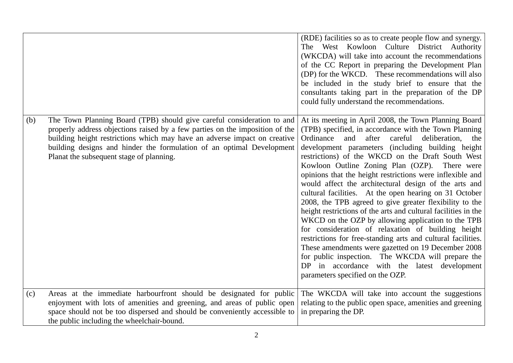|     |                                                                                                                                                                                                                                                                                                                                                          | (RDE) facilities so as to create people flow and synergy.<br>The West Kowloon Culture District Authority<br>(WKCDA) will take into account the recommendations<br>of the CC Report in preparing the Development Plan<br>(DP) for the WKCD. These recommendations will also<br>be included in the study brief to ensure that the<br>consultants taking part in the preparation of the DP<br>could fully understand the recommendations.                                                                                                                                                                                                                                                                                                                                                                                                                                                                                                                                                                                          |
|-----|----------------------------------------------------------------------------------------------------------------------------------------------------------------------------------------------------------------------------------------------------------------------------------------------------------------------------------------------------------|---------------------------------------------------------------------------------------------------------------------------------------------------------------------------------------------------------------------------------------------------------------------------------------------------------------------------------------------------------------------------------------------------------------------------------------------------------------------------------------------------------------------------------------------------------------------------------------------------------------------------------------------------------------------------------------------------------------------------------------------------------------------------------------------------------------------------------------------------------------------------------------------------------------------------------------------------------------------------------------------------------------------------------|
| (b) | The Town Planning Board (TPB) should give careful consideration to and<br>properly address objections raised by a few parties on the imposition of the<br>building height restrictions which may have an adverse impact on creative<br>building designs and hinder the formulation of an optimal Development<br>Planat the subsequent stage of planning. | At its meeting in April 2008, the Town Planning Board<br>(TPB) specified, in accordance with the Town Planning<br>Ordinance<br>and<br>after<br>careful<br>deliberation, the<br>development parameters (including building height)<br>restrictions) of the WKCD on the Draft South West<br>Kowloon Outline Zoning Plan (OZP). There were<br>opinions that the height restrictions were inflexible and<br>would affect the architectural design of the arts and<br>cultural facilities. At the open hearing on 31 October<br>2008, the TPB agreed to give greater flexibility to the<br>height restrictions of the arts and cultural facilities in the<br>WKCD on the OZP by allowing application to the TPB<br>for consideration of relaxation of building height<br>restrictions for free-standing arts and cultural facilities.<br>These amendments were gazetted on 19 December 2008<br>for public inspection. The WKCDA will prepare the<br>DP in accordance with the latest development<br>parameters specified on the OZP. |
| (c) | Areas at the immediate harbourfront should be designated for public<br>enjoyment with lots of amenities and greening, and areas of public open<br>space should not be too dispersed and should be conveniently accessible to<br>the public including the wheelchair-bound.                                                                               | The WKCDA will take into account the suggestions<br>relating to the public open space, amenities and greening<br>in preparing the DP.                                                                                                                                                                                                                                                                                                                                                                                                                                                                                                                                                                                                                                                                                                                                                                                                                                                                                           |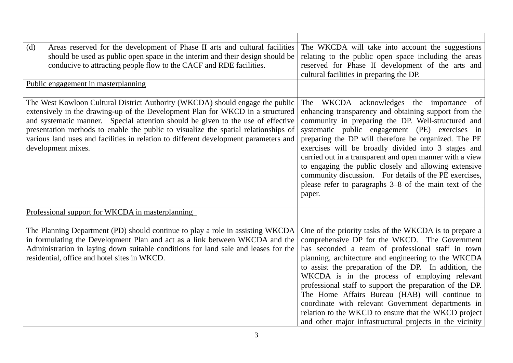| (d)<br>Areas reserved for the development of Phase II arts and cultural facilities<br>should be used as public open space in the interim and their design should be<br>conducive to attracting people flow to the CACF and RDE facilities.                                                                                                                                                                                                               | The WKCDA will take into account the suggestions<br>relating to the public open space including the areas<br>reserved for Phase II development of the arts and<br>cultural facilities in preparing the DP.                                                                                                                                                                                                                                                                                                                                                                                                            |
|----------------------------------------------------------------------------------------------------------------------------------------------------------------------------------------------------------------------------------------------------------------------------------------------------------------------------------------------------------------------------------------------------------------------------------------------------------|-----------------------------------------------------------------------------------------------------------------------------------------------------------------------------------------------------------------------------------------------------------------------------------------------------------------------------------------------------------------------------------------------------------------------------------------------------------------------------------------------------------------------------------------------------------------------------------------------------------------------|
| Public engagement in masterplanning                                                                                                                                                                                                                                                                                                                                                                                                                      |                                                                                                                                                                                                                                                                                                                                                                                                                                                                                                                                                                                                                       |
| The West Kowloon Cultural District Authority (WKCDA) should engage the public<br>extensively in the drawing-up of the Development Plan for WKCD in a structured<br>and systematic manner. Special attention should be given to the use of effective<br>presentation methods to enable the public to visualize the spatial relationships of<br>various land uses and facilities in relation to different development parameters and<br>development mixes. | The WKCDA acknowledges the importance of<br>enhancing transparency and obtaining support from the<br>community in preparing the DP. Well-structured and<br>systematic public engagement (PE) exercises in<br>preparing the DP will therefore be organized. The PE<br>exercises will be broadly divided into 3 stages and<br>carried out in a transparent and open manner with a view<br>to engaging the public closely and allowing extensive<br>community discussion. For details of the PE exercises,<br>please refer to paragraphs 3–8 of the main text of the<br>paper.                                           |
| Professional support for WKCDA in masterplanning                                                                                                                                                                                                                                                                                                                                                                                                         |                                                                                                                                                                                                                                                                                                                                                                                                                                                                                                                                                                                                                       |
| The Planning Department (PD) should continue to play a role in assisting WKCDA<br>in formulating the Development Plan and act as a link between WKCDA and the<br>Administration in laying down suitable conditions for land sale and leases for the<br>residential, office and hotel sites in WKCD.                                                                                                                                                      | One of the priority tasks of the WKCDA is to prepare a<br>comprehensive DP for the WKCD. The Government<br>has seconded a team of professional staff in town<br>planning, architecture and engineering to the WKCDA<br>to assist the preparation of the DP. In addition, the<br>WKCDA is in the process of employing relevant<br>professional staff to support the preparation of the DP.<br>The Home Affairs Bureau (HAB) will continue to<br>coordinate with relevant Government departments in<br>relation to the WKCD to ensure that the WKCD project<br>and other major infrastructural projects in the vicinity |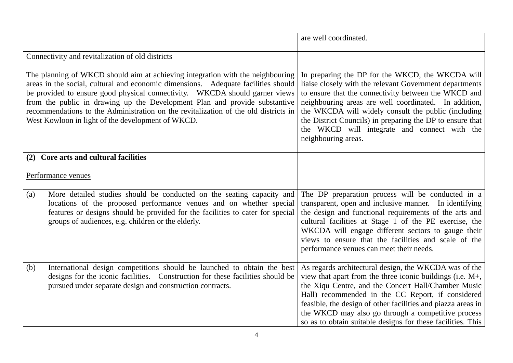|                                                                                                                                                                                                                                                                                                                                                                                                                                                                              | are well coordinated.                                                                                                                                                                                                                                                                                                                                                                                                     |
|------------------------------------------------------------------------------------------------------------------------------------------------------------------------------------------------------------------------------------------------------------------------------------------------------------------------------------------------------------------------------------------------------------------------------------------------------------------------------|---------------------------------------------------------------------------------------------------------------------------------------------------------------------------------------------------------------------------------------------------------------------------------------------------------------------------------------------------------------------------------------------------------------------------|
| Connectivity and revitalization of old districts                                                                                                                                                                                                                                                                                                                                                                                                                             |                                                                                                                                                                                                                                                                                                                                                                                                                           |
| The planning of WKCD should aim at achieving integration with the neighbouring<br>areas in the social, cultural and economic dimensions. Adequate facilities should<br>be provided to ensure good physical connectivity. WKCDA should garner views<br>from the public in drawing up the Development Plan and provide substantive<br>recommendations to the Administration on the revitalization of the old districts in<br>West Kowloon in light of the development of WKCD. | In preparing the DP for the WKCD, the WKCDA will<br>liaise closely with the relevant Government departments<br>to ensure that the connectivity between the WKCD and<br>neighbouring areas are well coordinated. In addition,<br>the WKCDA will widely consult the public (including<br>the District Councils) in preparing the DP to ensure that<br>the WKCD will integrate and connect with the<br>neighbouring areas.   |
| Core arts and cultural facilities<br>(2)                                                                                                                                                                                                                                                                                                                                                                                                                                     |                                                                                                                                                                                                                                                                                                                                                                                                                           |
| Performance venues                                                                                                                                                                                                                                                                                                                                                                                                                                                           |                                                                                                                                                                                                                                                                                                                                                                                                                           |
| More detailed studies should be conducted on the seating capacity and<br>(a)<br>locations of the proposed performance venues and on whether special<br>features or designs should be provided for the facilities to cater for special<br>groups of audiences, e.g. children or the elderly.                                                                                                                                                                                  | The DP preparation process will be conducted in a<br>transparent, open and inclusive manner. In identifying<br>the design and functional requirements of the arts and<br>cultural facilities at Stage 1 of the PE exercise, the<br>WKCDA will engage different sectors to gauge their<br>views to ensure that the facilities and scale of the<br>performance venues can meet their needs.                                 |
| International design competitions should be launched to obtain the best<br>(b)<br>designs for the iconic facilities. Construction for these facilities should be<br>pursued under separate design and construction contracts.                                                                                                                                                                                                                                                | As regards architectural design, the WKCDA was of the<br>view that apart from the three iconic buildings (i.e. $M_{+}$ ,<br>the Xiqu Centre, and the Concert Hall/Chamber Music<br>Hall) recommended in the CC Report, if considered<br>feasible, the design of other facilities and piazza areas in<br>the WKCD may also go through a competitive process<br>so as to obtain suitable designs for these facilities. This |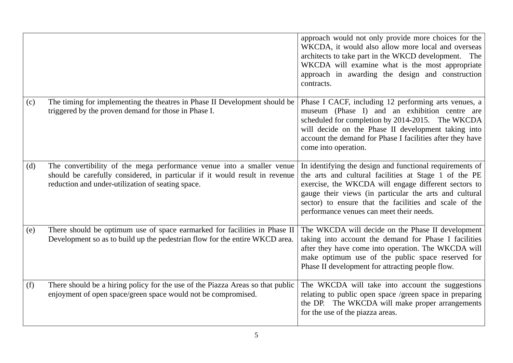|     |                                                                                                                                                                                                           | approach would not only provide more choices for the<br>WKCDA, it would also allow more local and overseas<br>architects to take part in the WKCD development.<br>The<br>WKCDA will examine what is the most appropriate<br>approach in awarding the design and construction<br>contracts.                                                |
|-----|-----------------------------------------------------------------------------------------------------------------------------------------------------------------------------------------------------------|-------------------------------------------------------------------------------------------------------------------------------------------------------------------------------------------------------------------------------------------------------------------------------------------------------------------------------------------|
| (c) | The timing for implementing the theatres in Phase II Development should be<br>triggered by the proven demand for those in Phase I.                                                                        | Phase I CACF, including 12 performing arts venues, a<br>museum (Phase I) and an exhibition centre are<br>scheduled for completion by 2014-2015. The WKCDA<br>will decide on the Phase II development taking into<br>account the demand for Phase I facilities after they have<br>come into operation.                                     |
| (d) | The convertibility of the mega performance venue into a smaller venue<br>should be carefully considered, in particular if it would result in revenue<br>reduction and under-utilization of seating space. | In identifying the design and functional requirements of<br>the arts and cultural facilities at Stage 1 of the PE<br>exercise, the WKCDA will engage different sectors to<br>gauge their views (in particular the arts and cultural<br>sector) to ensure that the facilities and scale of the<br>performance venues can meet their needs. |
| (e) | There should be optimum use of space earmarked for facilities in Phase II<br>Development so as to build up the pedestrian flow for the entire WKCD area.                                                  | The WKCDA will decide on the Phase II development<br>taking into account the demand for Phase I facilities<br>after they have come into operation. The WKCDA will<br>make optimum use of the public space reserved for<br>Phase II development for attracting people flow.                                                                |
| (f) | There should be a hiring policy for the use of the Piazza Areas so that public<br>enjoyment of open space/green space would not be compromised.                                                           | The WKCDA will take into account the suggestions<br>relating to public open space /green space in preparing<br>the DP. The WKCDA will make proper arrangements<br>for the use of the piazza areas.                                                                                                                                        |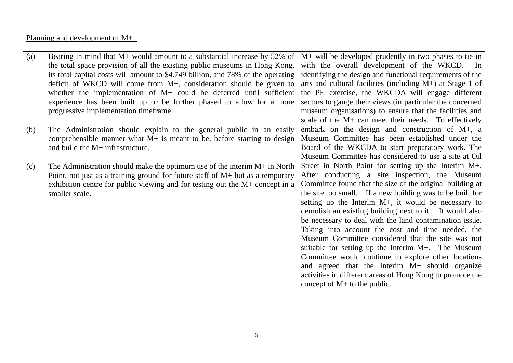| M+ will be developed prudently in two phases to tie in<br>Bearing in mind that $M$ + would amount to a substantial increase by 52% of<br>(a)<br>the total space provision of all the existing public museums in Hong Kong,<br>with the overall development of the WKCD. In<br>its total capital costs will amount to \$4.749 billion, and 78% of the operating<br>identifying the design and functional requirements of the<br>deficit of WKCD will come from M+, consideration should be given to<br>arts and cultural facilities (including $M+$ ) at Stage 1 of<br>whether the implementation of $M$ + could be deferred until sufficient<br>the PE exercise, the WKCDA will engage different<br>experience has been built up or be further phased to allow for a more<br>sectors to gauge their views (in particular the concerned<br>museum organisations) to ensure that the facilities and<br>progressive implementation timeframe.<br>scale of the M+ can meet their needs. To effectively |
|----------------------------------------------------------------------------------------------------------------------------------------------------------------------------------------------------------------------------------------------------------------------------------------------------------------------------------------------------------------------------------------------------------------------------------------------------------------------------------------------------------------------------------------------------------------------------------------------------------------------------------------------------------------------------------------------------------------------------------------------------------------------------------------------------------------------------------------------------------------------------------------------------------------------------------------------------------------------------------------------------|
|                                                                                                                                                                                                                                                                                                                                                                                                                                                                                                                                                                                                                                                                                                                                                                                                                                                                                                                                                                                                    |
|                                                                                                                                                                                                                                                                                                                                                                                                                                                                                                                                                                                                                                                                                                                                                                                                                                                                                                                                                                                                    |
|                                                                                                                                                                                                                                                                                                                                                                                                                                                                                                                                                                                                                                                                                                                                                                                                                                                                                                                                                                                                    |
|                                                                                                                                                                                                                                                                                                                                                                                                                                                                                                                                                                                                                                                                                                                                                                                                                                                                                                                                                                                                    |
|                                                                                                                                                                                                                                                                                                                                                                                                                                                                                                                                                                                                                                                                                                                                                                                                                                                                                                                                                                                                    |
|                                                                                                                                                                                                                                                                                                                                                                                                                                                                                                                                                                                                                                                                                                                                                                                                                                                                                                                                                                                                    |
|                                                                                                                                                                                                                                                                                                                                                                                                                                                                                                                                                                                                                                                                                                                                                                                                                                                                                                                                                                                                    |
|                                                                                                                                                                                                                                                                                                                                                                                                                                                                                                                                                                                                                                                                                                                                                                                                                                                                                                                                                                                                    |
|                                                                                                                                                                                                                                                                                                                                                                                                                                                                                                                                                                                                                                                                                                                                                                                                                                                                                                                                                                                                    |
| embark on the design and construction of $M_{+}$ , a<br>The Administration should explain to the general public in an easily<br>(b)                                                                                                                                                                                                                                                                                                                                                                                                                                                                                                                                                                                                                                                                                                                                                                                                                                                                |
| Museum Committee has been established under the<br>comprehensible manner what $M+$ is meant to be, before starting to design                                                                                                                                                                                                                                                                                                                                                                                                                                                                                                                                                                                                                                                                                                                                                                                                                                                                       |
| and build the M+ infrastructure.<br>Board of the WKCDA to start preparatory work. The                                                                                                                                                                                                                                                                                                                                                                                                                                                                                                                                                                                                                                                                                                                                                                                                                                                                                                              |
| Museum Committee has considered to use a site at Oil                                                                                                                                                                                                                                                                                                                                                                                                                                                                                                                                                                                                                                                                                                                                                                                                                                                                                                                                               |
| Street in North Point for setting up the Interim M+.<br>The Administration should make the optimum use of the interim $M+$ in North<br>(c)                                                                                                                                                                                                                                                                                                                                                                                                                                                                                                                                                                                                                                                                                                                                                                                                                                                         |
| After conducting a site inspection, the Museum<br>Point, not just as a training ground for future staff of $M$ + but as a temporary                                                                                                                                                                                                                                                                                                                                                                                                                                                                                                                                                                                                                                                                                                                                                                                                                                                                |
| Committee found that the size of the original building at<br>exhibition centre for public viewing and for testing out the M+ concept in a                                                                                                                                                                                                                                                                                                                                                                                                                                                                                                                                                                                                                                                                                                                                                                                                                                                          |
| the site too small. If a new building was to be built for<br>smaller scale.                                                                                                                                                                                                                                                                                                                                                                                                                                                                                                                                                                                                                                                                                                                                                                                                                                                                                                                        |
| setting up the Interim M+, it would be necessary to                                                                                                                                                                                                                                                                                                                                                                                                                                                                                                                                                                                                                                                                                                                                                                                                                                                                                                                                                |
| demolish an existing building next to it. It would also                                                                                                                                                                                                                                                                                                                                                                                                                                                                                                                                                                                                                                                                                                                                                                                                                                                                                                                                            |
| be necessary to deal with the land contamination issue.                                                                                                                                                                                                                                                                                                                                                                                                                                                                                                                                                                                                                                                                                                                                                                                                                                                                                                                                            |
| Taking into account the cost and time needed, the                                                                                                                                                                                                                                                                                                                                                                                                                                                                                                                                                                                                                                                                                                                                                                                                                                                                                                                                                  |
| Museum Committee considered that the site was not                                                                                                                                                                                                                                                                                                                                                                                                                                                                                                                                                                                                                                                                                                                                                                                                                                                                                                                                                  |
| suitable for setting up the Interim M+. The Museum                                                                                                                                                                                                                                                                                                                                                                                                                                                                                                                                                                                                                                                                                                                                                                                                                                                                                                                                                 |
| Committee would continue to explore other locations                                                                                                                                                                                                                                                                                                                                                                                                                                                                                                                                                                                                                                                                                                                                                                                                                                                                                                                                                |
| and agreed that the Interim M+ should organize                                                                                                                                                                                                                                                                                                                                                                                                                                                                                                                                                                                                                                                                                                                                                                                                                                                                                                                                                     |
| activities in different areas of Hong Kong to promote the                                                                                                                                                                                                                                                                                                                                                                                                                                                                                                                                                                                                                                                                                                                                                                                                                                                                                                                                          |
| concept of $M$ + to the public.                                                                                                                                                                                                                                                                                                                                                                                                                                                                                                                                                                                                                                                                                                                                                                                                                                                                                                                                                                    |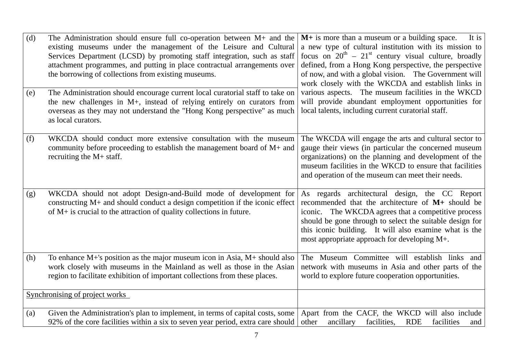| (d) | The Administration should ensure full co-operation between $M+$ and the<br>existing museums under the management of the Leisure and Cultural<br>Services Department (LCSD) by promoting staff integration, such as staff<br>attachment programmes, and putting in place contractual arrangements over<br>the borrowing of collections from existing museums. | $M+$ is more than a museum or a building space.<br>It is<br>a new type of cultural institution with its mission to<br>focus on $20^{th} - 21^{st}$ century visual culture, broadly<br>defined, from a Hong Kong perspective, the perspective<br>of now, and with a global vision. The Government will<br>work closely with the WKCDA and establish links in |
|-----|--------------------------------------------------------------------------------------------------------------------------------------------------------------------------------------------------------------------------------------------------------------------------------------------------------------------------------------------------------------|-------------------------------------------------------------------------------------------------------------------------------------------------------------------------------------------------------------------------------------------------------------------------------------------------------------------------------------------------------------|
| (e) | The Administration should encourage current local curatorial staff to take on<br>the new challenges in M+, instead of relying entirely on curators from<br>overseas as they may not understand the "Hong Kong perspective" as much<br>as local curators.                                                                                                     | various aspects. The museum facilities in the WKCD<br>will provide abundant employment opportunities for<br>local talents, including current curatorial staff.                                                                                                                                                                                              |
| (f) | WKCDA should conduct more extensive consultation with the museum<br>community before proceeding to establish the management board of $M+$ and<br>recruiting the $M+$ staff.                                                                                                                                                                                  | The WKCDA will engage the arts and cultural sector to<br>gauge their views (in particular the concerned museum<br>organizations) on the planning and development of the<br>museum facilities in the WKCD to ensure that facilities<br>and operation of the museum can meet their needs.                                                                     |
| (g) | WKCDA should not adopt Design-and-Build mode of development for<br>constructing M+ and should conduct a design competition if the iconic effect<br>of $M+$ is crucial to the attraction of quality collections in future.                                                                                                                                    | As regards architectural design, the CC Report<br>recommended that the architecture of M+ should be<br>iconic. The WKCDA agrees that a competitive process<br>should be gone through to select the suitable design for<br>this iconic building. It will also examine what is the<br>most appropriate approach for developing M+.                            |
| (h) | To enhance $M+$ 's position as the major museum icon in Asia, $M+$ should also<br>work closely with museums in the Mainland as well as those in the Asian<br>region to facilitate exhibition of important collections from these places.                                                                                                                     | The Museum Committee will establish links and<br>network with museums in Asia and other parts of the<br>world to explore future cooperation opportunities.                                                                                                                                                                                                  |
|     | Synchronising of project works                                                                                                                                                                                                                                                                                                                               |                                                                                                                                                                                                                                                                                                                                                             |
| (a) | Given the Administration's plan to implement, in terms of capital costs, some<br>92% of the core facilities within a six to seven year period, extra care should                                                                                                                                                                                             | Apart from the CACF, the WKCD will also include<br><b>RDE</b><br>facilities<br>other<br>ancillary<br>facilities,<br>and                                                                                                                                                                                                                                     |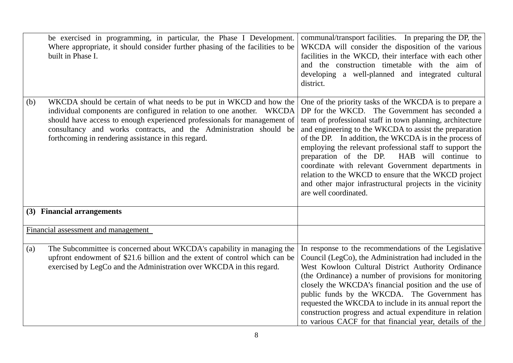|     | be exercised in programming, in particular, the Phase I Development.<br>Where appropriate, it should consider further phasing of the facilities to be<br>built in Phase I.                                                                                                                                                                            | communal/transport facilities. In preparing the DP, the<br>WKCDA will consider the disposition of the various<br>facilities in the WKCD, their interface with each other<br>and the construction timetable with the aim of<br>developing a well-planned and integrated cultural<br>district.                                                                                                                                                                                                                                                                                                            |
|-----|-------------------------------------------------------------------------------------------------------------------------------------------------------------------------------------------------------------------------------------------------------------------------------------------------------------------------------------------------------|---------------------------------------------------------------------------------------------------------------------------------------------------------------------------------------------------------------------------------------------------------------------------------------------------------------------------------------------------------------------------------------------------------------------------------------------------------------------------------------------------------------------------------------------------------------------------------------------------------|
| (b) | WKCDA should be certain of what needs to be put in WKCD and how the<br>individual components are configured in relation to one another. WKCDA<br>should have access to enough experienced professionals for management of<br>consultancy and works contracts, and the Administration should be<br>forthcoming in rendering assistance in this regard. | One of the priority tasks of the WKCDA is to prepare a<br>DP for the WKCD. The Government has seconded a<br>team of professional staff in town planning, architecture<br>and engineering to the WKCDA to assist the preparation<br>of the DP. In addition, the WKCDA is in the process of<br>employing the relevant professional staff to support the<br>preparation of the DP. HAB will continue to<br>coordinate with relevant Government departments in<br>relation to the WKCD to ensure that the WKCD project<br>and other major infrastructural projects in the vicinity<br>are well coordinated. |
|     | (3) Financial arrangements                                                                                                                                                                                                                                                                                                                            |                                                                                                                                                                                                                                                                                                                                                                                                                                                                                                                                                                                                         |
|     | Financial assessment and management                                                                                                                                                                                                                                                                                                                   |                                                                                                                                                                                                                                                                                                                                                                                                                                                                                                                                                                                                         |
| (a) | The Subcommittee is concerned about WKCDA's capability in managing the<br>upfront endowment of \$21.6 billion and the extent of control which can be<br>exercised by LegCo and the Administration over WKCDA in this regard.                                                                                                                          | In response to the recommendations of the Legislative<br>Council (LegCo), the Administration had included in the<br>West Kowloon Cultural District Authority Ordinance<br>(the Ordinance) a number of provisions for monitoring<br>closely the WKCDA's financial position and the use of<br>public funds by the WKCDA. The Government has<br>requested the WKCDA to include in its annual report the<br>construction progress and actual expenditure in relation<br>to various CACF for that financial year, details of the                                                                             |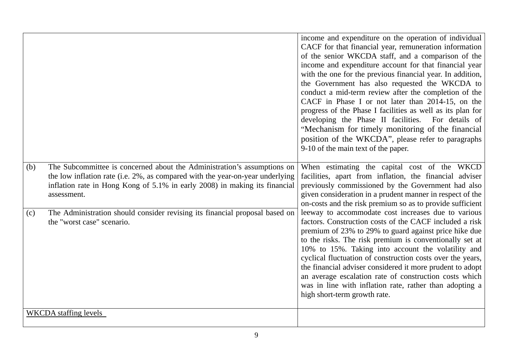|     |                                                                                                                                                                                                                                                       | income and expenditure on the operation of individual<br>CACF for that financial year, remuneration information<br>of the senior WKCDA staff, and a comparison of the<br>income and expenditure account for that financial year<br>with the one for the previous financial year. In addition,<br>the Government has also requested the WKCDA to<br>conduct a mid-term review after the completion of the<br>CACF in Phase I or not later than 2014-15, on the<br>progress of the Phase I facilities as well as its plan for<br>developing the Phase II facilities.<br>For details of<br>"Mechanism for timely monitoring of the financial<br>position of the WKCDA", please refer to paragraphs<br>9-10 of the main text of the paper. |
|-----|-------------------------------------------------------------------------------------------------------------------------------------------------------------------------------------------------------------------------------------------------------|----------------------------------------------------------------------------------------------------------------------------------------------------------------------------------------------------------------------------------------------------------------------------------------------------------------------------------------------------------------------------------------------------------------------------------------------------------------------------------------------------------------------------------------------------------------------------------------------------------------------------------------------------------------------------------------------------------------------------------------|
| (b) | The Subcommittee is concerned about the Administration's assumptions on<br>the low inflation rate (i.e. 2%, as compared with the year-on-year underlying<br>inflation rate in Hong Kong of 5.1% in early 2008) in making its financial<br>assessment. | When estimating the capital cost of the WKCD<br>facilities, apart from inflation, the financial adviser<br>previously commissioned by the Government had also<br>given consideration in a prudent manner in respect of the<br>on-costs and the risk premium so as to provide sufficient                                                                                                                                                                                                                                                                                                                                                                                                                                                |
| (c) | The Administration should consider revising its financial proposal based on<br>the "worst case" scenario.                                                                                                                                             | leeway to accommodate cost increases due to various<br>factors. Construction costs of the CACF included a risk<br>premium of 23% to 29% to guard against price hike due<br>to the risks. The risk premium is conventionally set at<br>10% to 15%. Taking into account the volatility and<br>cyclical fluctuation of construction costs over the years,<br>the financial adviser considered it more prudent to adopt<br>an average escalation rate of construction costs which<br>was in line with inflation rate, rather than adopting a<br>high short-term growth rate.                                                                                                                                                               |
|     | <b>WKCDA</b> staffing levels                                                                                                                                                                                                                          |                                                                                                                                                                                                                                                                                                                                                                                                                                                                                                                                                                                                                                                                                                                                        |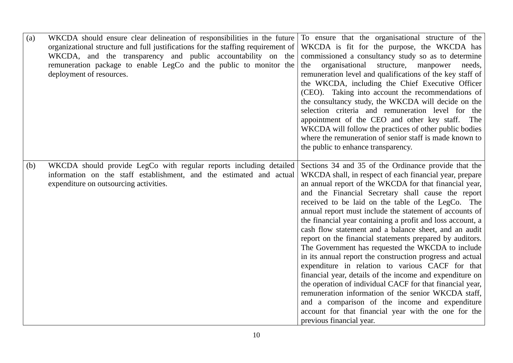| (a) | WKCDA should ensure clear delineation of responsibilities in the future<br>organizational structure and full justifications for the staffing requirement of<br>WKCDA, and the transparency and public accountability on the<br>remuneration package to enable LegCo and the public to monitor the<br>deployment of resources. | To ensure that the organisational structure of the<br>WKCDA is fit for the purpose, the WKCDA has<br>commissioned a consultancy study so as to determine<br>organisational<br>structure,<br>the<br>manpower<br>needs,<br>remuneration level and qualifications of the key staff of<br>the WKCDA, including the Chief Executive Officer<br>(CEO). Taking into account the recommendations of<br>the consultancy study, the WKCDA will decide on the<br>selection criteria and remuneration level for the<br>appointment of the CEO and other key staff.<br>The<br>WKCDA will follow the practices of other public bodies<br>where the remuneration of senior staff is made known to<br>the public to enhance transparency.                                                                                                                                                                                                                                                                                                       |
|-----|-------------------------------------------------------------------------------------------------------------------------------------------------------------------------------------------------------------------------------------------------------------------------------------------------------------------------------|---------------------------------------------------------------------------------------------------------------------------------------------------------------------------------------------------------------------------------------------------------------------------------------------------------------------------------------------------------------------------------------------------------------------------------------------------------------------------------------------------------------------------------------------------------------------------------------------------------------------------------------------------------------------------------------------------------------------------------------------------------------------------------------------------------------------------------------------------------------------------------------------------------------------------------------------------------------------------------------------------------------------------------|
| (b) | WKCDA should provide LegCo with regular reports including detailed<br>information on the staff establishment, and the estimated and actual<br>expenditure on outsourcing activities.                                                                                                                                          | Sections 34 and 35 of the Ordinance provide that the<br>WKCDA shall, in respect of each financial year, prepare<br>an annual report of the WKCDA for that financial year,<br>and the Financial Secretary shall cause the report<br>received to be laid on the table of the LegCo. The<br>annual report must include the statement of accounts of<br>the financial year containing a profit and loss account, a<br>cash flow statement and a balance sheet, and an audit<br>report on the financial statements prepared by auditors.<br>The Government has requested the WKCDA to include<br>in its annual report the construction progress and actual<br>expenditure in relation to various CACF for that<br>financial year, details of the income and expenditure on<br>the operation of individual CACF for that financial year,<br>remuneration information of the senior WKCDA staff,<br>and a comparison of the income and expenditure<br>account for that financial year with the one for the<br>previous financial year. |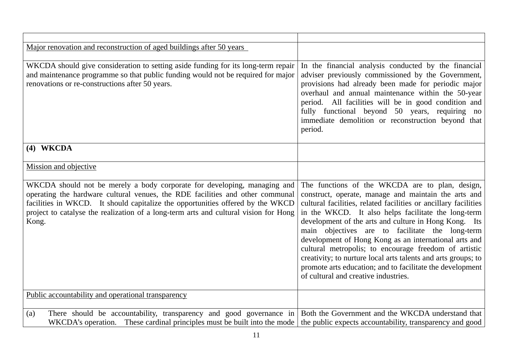| Major renovation and reconstruction of aged buildings after 50 years                                                                                                                                                                                                                                                                         |                                                                                                                                                                                                                                                                                                                                                                                                                                                                                                                                                                                                                                       |
|----------------------------------------------------------------------------------------------------------------------------------------------------------------------------------------------------------------------------------------------------------------------------------------------------------------------------------------------|---------------------------------------------------------------------------------------------------------------------------------------------------------------------------------------------------------------------------------------------------------------------------------------------------------------------------------------------------------------------------------------------------------------------------------------------------------------------------------------------------------------------------------------------------------------------------------------------------------------------------------------|
| WKCDA should give consideration to setting aside funding for its long-term repair<br>and maintenance programme so that public funding would not be required for major<br>renovations or re-constructions after 50 years.                                                                                                                     | In the financial analysis conducted by the financial<br>adviser previously commissioned by the Government,<br>provisions had already been made for periodic major<br>overhaul and annual maintenance within the 50-year<br>period. All facilities will be in good condition and<br>fully functional beyond 50 years, requiring no<br>immediate demolition or reconstruction beyond that<br>period.                                                                                                                                                                                                                                    |
| (4) WKCDA                                                                                                                                                                                                                                                                                                                                    |                                                                                                                                                                                                                                                                                                                                                                                                                                                                                                                                                                                                                                       |
| Mission and objective                                                                                                                                                                                                                                                                                                                        |                                                                                                                                                                                                                                                                                                                                                                                                                                                                                                                                                                                                                                       |
| WKCDA should not be merely a body corporate for developing, managing and<br>operating the hardware cultural venues, the RDE facilities and other communal<br>facilities in WKCD. It should capitalize the opportunities offered by the WKCD<br>project to catalyse the realization of a long-term arts and cultural vision for Hong<br>Kong. | The functions of the WKCDA are to plan, design,<br>construct, operate, manage and maintain the arts and<br>cultural facilities, related facilities or ancillary facilities<br>in the WKCD. It also helps facilitate the long-term<br>development of the arts and culture in Hong Kong. Its<br>main objectives are to facilitate the long-term<br>development of Hong Kong as an international arts and<br>cultural metropolis; to encourage freedom of artistic<br>creativity; to nurture local arts talents and arts groups; to<br>promote arts education; and to facilitate the development<br>of cultural and creative industries. |
| Public accountability and operational transparency                                                                                                                                                                                                                                                                                           |                                                                                                                                                                                                                                                                                                                                                                                                                                                                                                                                                                                                                                       |
| There should be accountability, transparency and good governance in Both the Government and the WKCDA understand that<br>(a)<br>WKCDA's operation. These cardinal principles must be built into the mode the public expects accountability, transparency and good                                                                            |                                                                                                                                                                                                                                                                                                                                                                                                                                                                                                                                                                                                                                       |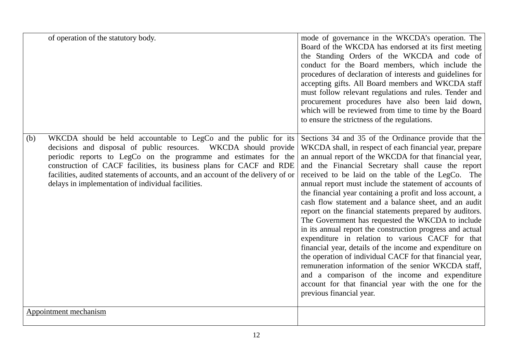| of operation of the statutory body.                                                                                                                                                                                                                                                                                                                                                                                               | mode of governance in the WKCDA's operation. The<br>Board of the WKCDA has endorsed at its first meeting<br>the Standing Orders of the WKCDA and code of<br>conduct for the Board members, which include the<br>procedures of declaration of interests and guidelines for<br>accepting gifts. All Board members and WKCDA staff<br>must follow relevant regulations and rules. Tender and<br>procurement procedures have also been laid down,<br>which will be reviewed from time to time by the Board<br>to ensure the strictness of the regulations.                                                                                                                                                                                                                                                                                                                                                                                                                                                                          |
|-----------------------------------------------------------------------------------------------------------------------------------------------------------------------------------------------------------------------------------------------------------------------------------------------------------------------------------------------------------------------------------------------------------------------------------|---------------------------------------------------------------------------------------------------------------------------------------------------------------------------------------------------------------------------------------------------------------------------------------------------------------------------------------------------------------------------------------------------------------------------------------------------------------------------------------------------------------------------------------------------------------------------------------------------------------------------------------------------------------------------------------------------------------------------------------------------------------------------------------------------------------------------------------------------------------------------------------------------------------------------------------------------------------------------------------------------------------------------------|
| WKCDA should be held accountable to LegCo and the public for its<br>(b)<br>decisions and disposal of public resources. WKCDA should provide<br>periodic reports to LegCo on the programme and estimates for the<br>construction of CACF facilities, its business plans for CACF and RDE<br>facilities, audited statements of accounts, and an account of the delivery of or<br>delays in implementation of individual facilities. | Sections 34 and 35 of the Ordinance provide that the<br>WKCDA shall, in respect of each financial year, prepare<br>an annual report of the WKCDA for that financial year,<br>and the Financial Secretary shall cause the report<br>received to be laid on the table of the LegCo. The<br>annual report must include the statement of accounts of<br>the financial year containing a profit and loss account, a<br>cash flow statement and a balance sheet, and an audit<br>report on the financial statements prepared by auditors.<br>The Government has requested the WKCDA to include<br>in its annual report the construction progress and actual<br>expenditure in relation to various CACF for that<br>financial year, details of the income and expenditure on<br>the operation of individual CACF for that financial year,<br>remuneration information of the senior WKCDA staff,<br>and a comparison of the income and expenditure<br>account for that financial year with the one for the<br>previous financial year. |
| Appointment mechanism                                                                                                                                                                                                                                                                                                                                                                                                             |                                                                                                                                                                                                                                                                                                                                                                                                                                                                                                                                                                                                                                                                                                                                                                                                                                                                                                                                                                                                                                 |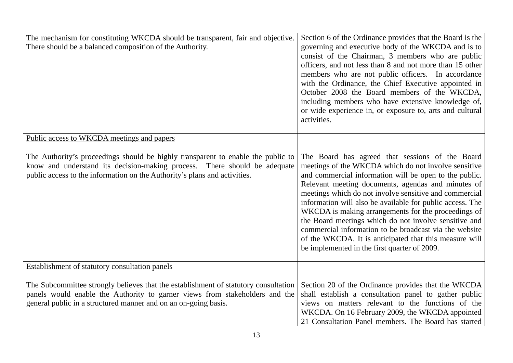| The mechanism for constituting WKCDA should be transparent, fair and objective.<br>There should be a balanced composition of the Authority.                                                                                                | Section 6 of the Ordinance provides that the Board is the<br>governing and executive body of the WKCDA and is to<br>consist of the Chairman, 3 members who are public<br>officers, and not less than 8 and not more than 15 other<br>members who are not public officers. In accordance<br>with the Ordinance, the Chief Executive appointed in<br>October 2008 the Board members of the WKCDA,<br>including members who have extensive knowledge of,<br>or wide experience in, or exposure to, arts and cultural<br>activities.                                                                                                   |
|--------------------------------------------------------------------------------------------------------------------------------------------------------------------------------------------------------------------------------------------|------------------------------------------------------------------------------------------------------------------------------------------------------------------------------------------------------------------------------------------------------------------------------------------------------------------------------------------------------------------------------------------------------------------------------------------------------------------------------------------------------------------------------------------------------------------------------------------------------------------------------------|
| Public access to WKCDA meetings and papers                                                                                                                                                                                                 |                                                                                                                                                                                                                                                                                                                                                                                                                                                                                                                                                                                                                                    |
| The Authority's proceedings should be highly transparent to enable the public to<br>know and understand its decision-making process. There should be adequate<br>public access to the information on the Authority's plans and activities. | The Board has agreed that sessions of the Board<br>meetings of the WKCDA which do not involve sensitive<br>and commercial information will be open to the public.<br>Relevant meeting documents, agendas and minutes of<br>meetings which do not involve sensitive and commercial<br>information will also be available for public access. The<br>WKCDA is making arrangements for the proceedings of<br>the Board meetings which do not involve sensitive and<br>commercial information to be broadcast via the website<br>of the WKCDA. It is anticipated that this measure will<br>be implemented in the first quarter of 2009. |
| Establishment of statutory consultation panels                                                                                                                                                                                             |                                                                                                                                                                                                                                                                                                                                                                                                                                                                                                                                                                                                                                    |
| The Subcommittee strongly believes that the establishment of statutory consultation<br>panels would enable the Authority to garner views from stakeholders and the<br>general public in a structured manner and on an on-going basis.      | Section 20 of the Ordinance provides that the WKCDA<br>shall establish a consultation panel to gather public<br>views on matters relevant to the functions of the<br>WKCDA. On 16 February 2009, the WKCDA appointed<br>21 Consultation Panel members. The Board has started                                                                                                                                                                                                                                                                                                                                                       |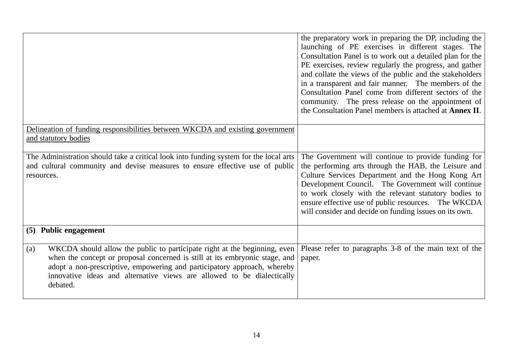|                                                                                                                                                                                                                                                                                                                                   | the preparatory work in preparing the DP, including the<br>launching of PE exercises in different stages. The<br>Consultation Panel is to work out a detailed plan for the<br>PE exercises, review regularly the progress, and gather<br>and collate the views of the public and the stakeholders<br>in a transparent and fair manner. The members of the<br>Consultation Panel come from different sectors of the<br>community. The press release on the appointment of<br>the Consultation Panel members is attached at <b>Annex II</b> . |
|-----------------------------------------------------------------------------------------------------------------------------------------------------------------------------------------------------------------------------------------------------------------------------------------------------------------------------------|---------------------------------------------------------------------------------------------------------------------------------------------------------------------------------------------------------------------------------------------------------------------------------------------------------------------------------------------------------------------------------------------------------------------------------------------------------------------------------------------------------------------------------------------|
| Delineation of funding responsibilities between WKCDA and existing government<br>and statutory bodies                                                                                                                                                                                                                             |                                                                                                                                                                                                                                                                                                                                                                                                                                                                                                                                             |
| The Administration should take a critical look into funding system for the local arts<br>and cultural community and devise measures to ensure effective use of public<br>resources.                                                                                                                                               | The Government will continue to provide funding for<br>the performing arts through the HAB, the Leisure and<br>Culture Services Department and the Hong Kong Art<br>Development Council. The Government will continue<br>to work closely with the relevant statutory bodies to<br>ensure effective use of public resources. The WKCDA<br>will consider and decide on funding issues on its own.                                                                                                                                             |
| (5) Public engagement                                                                                                                                                                                                                                                                                                             |                                                                                                                                                                                                                                                                                                                                                                                                                                                                                                                                             |
| WKCDA should allow the public to participate right at the beginning, even<br>(a)<br>when the concept or proposal concerned is still at its embryonic stage, and<br>adopt a non-prescriptive, empowering and participatory approach, whereby<br>innovative ideas and alternative views are allowed to be dialectically<br>debated. | Please refer to paragraphs 3-8 of the main text of the<br>paper.                                                                                                                                                                                                                                                                                                                                                                                                                                                                            |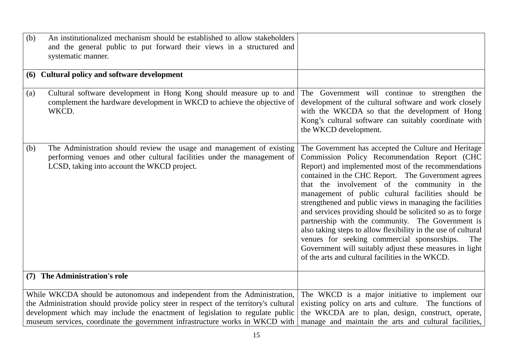| (b) | An institutionalized mechanism should be established to allow stakeholders<br>and the general public to put forward their views in a structured and<br>systematic manner.                                                                                                                                                           |                                                                                                                                                                                                                                                                                                                                                                                                                                                                                                                                                                                                                                                                                                                                             |
|-----|-------------------------------------------------------------------------------------------------------------------------------------------------------------------------------------------------------------------------------------------------------------------------------------------------------------------------------------|---------------------------------------------------------------------------------------------------------------------------------------------------------------------------------------------------------------------------------------------------------------------------------------------------------------------------------------------------------------------------------------------------------------------------------------------------------------------------------------------------------------------------------------------------------------------------------------------------------------------------------------------------------------------------------------------------------------------------------------------|
|     | (6) Cultural policy and software development                                                                                                                                                                                                                                                                                        |                                                                                                                                                                                                                                                                                                                                                                                                                                                                                                                                                                                                                                                                                                                                             |
| (a) | Cultural software development in Hong Kong should measure up to and<br>complement the hardware development in WKCD to achieve the objective of<br>WKCD.                                                                                                                                                                             | The Government will continue to strengthen the<br>development of the cultural software and work closely<br>with the WKCDA so that the development of Hong<br>Kong's cultural software can suitably coordinate with<br>the WKCD development.                                                                                                                                                                                                                                                                                                                                                                                                                                                                                                 |
| (b) | The Administration should review the usage and management of existing<br>performing venues and other cultural facilities under the management of<br>LCSD, taking into account the WKCD project.                                                                                                                                     | The Government has accepted the Culture and Heritage<br>Commission Policy Recommendation Report (CHC<br>Report) and implemented most of the recommendations<br>contained in the CHC Report. The Government agrees<br>that the involvement of the community in the<br>management of public cultural facilities should be<br>strengthened and public views in managing the facilities<br>and services providing should be solicited so as to forge<br>partnership with the community. The Government is<br>also taking steps to allow flexibility in the use of cultural<br>venues for seeking commercial sponsorships.<br>The<br>Government will suitably adjust these measures in light<br>of the arts and cultural facilities in the WKCD. |
|     | (7) The Administration's role                                                                                                                                                                                                                                                                                                       |                                                                                                                                                                                                                                                                                                                                                                                                                                                                                                                                                                                                                                                                                                                                             |
|     | While WKCDA should be autonomous and independent from the Administration,<br>the Administration should provide policy steer in respect of the territory's cultural<br>development which may include the enactment of legislation to regulate public<br>museum services, coordinate the government infrastructure works in WKCD with | The WKCD is a major initiative to implement our<br>existing policy on arts and culture. The functions of<br>the WKCDA are to plan, design, construct, operate,<br>manage and maintain the arts and cultural facilities,                                                                                                                                                                                                                                                                                                                                                                                                                                                                                                                     |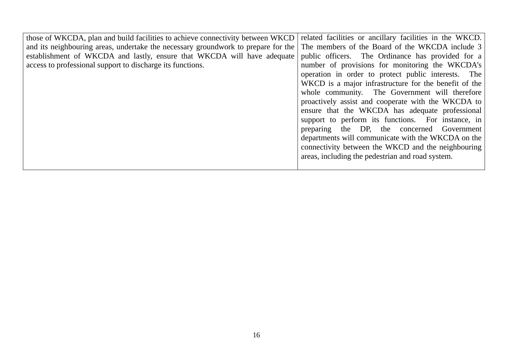| those of WKCDA, plan and build facilities to achieve connectivity between WKCD    | related facilities or ancillary facilities in the WKCD. |
|-----------------------------------------------------------------------------------|---------------------------------------------------------|
| and its neighbouring areas, undertake the necessary groundwork to prepare for the | The members of the Board of the WKCDA include 3         |
| establishment of WKCDA and lastly, ensure that WKCDA will have adequate           | public officers. The Ordinance has provided for a       |
| access to professional support to discharge its functions.                        | number of provisions for monitoring the WKCDA's         |
|                                                                                   | operation in order to protect public interests. The     |
|                                                                                   | WKCD is a major infrastructure for the benefit of the   |
|                                                                                   | whole community. The Government will therefore          |
|                                                                                   | proactively assist and cooperate with the WKCDA to      |
|                                                                                   | ensure that the WKCDA has adequate professional         |
|                                                                                   | support to perform its functions. For instance, in      |
|                                                                                   | preparing the DP, the concerned Government              |
|                                                                                   | departments will communicate with the WKCDA on the      |
|                                                                                   | connectivity between the WKCD and the neighbouring      |
|                                                                                   | areas, including the pedestrian and road system.        |
|                                                                                   |                                                         |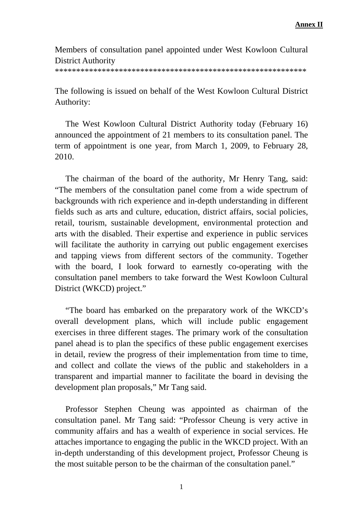#### Members of consultation panel appointed under West Kowloon Cultural District Authority

\*\*\*\*\*\*\*\*\*\*\*\*\*\*\*\*\*\*\*\*\*\*\*\*\*\*\*\*\*\*\*\*\*\*\*\*\*\*\*\*\*\*\*\*\*\*\*\*\*\*\*\*\*\*\*\*\*\*\*

The following is issued on behalf of the West Kowloon Cultural District Authority:

 The West Kowloon Cultural District Authority today (February 16) announced the appointment of 21 members to its consultation panel. The term of appointment is one year, from March 1, 2009, to February 28, 2010.

 The chairman of the board of the authority, Mr Henry Tang, said: "The members of the consultation panel come from a wide spectrum of backgrounds with rich experience and in-depth understanding in different fields such as arts and culture, education, district affairs, social policies, retail, tourism, sustainable development, environmental protection and arts with the disabled. Their expertise and experience in public services will facilitate the authority in carrying out public engagement exercises and tapping views from different sectors of the community. Together with the board, I look forward to earnestly co-operating with the consultation panel members to take forward the West Kowloon Cultural District (WKCD) project."

 "The board has embarked on the preparatory work of the WKCD's overall development plans, which will include public engagement exercises in three different stages. The primary work of the consultation panel ahead is to plan the specifics of these public engagement exercises in detail, review the progress of their implementation from time to time, and collect and collate the views of the public and stakeholders in a transparent and impartial manner to facilitate the board in devising the development plan proposals," Mr Tang said.

 Professor Stephen Cheung was appointed as chairman of the consultation panel. Mr Tang said: "Professor Cheung is very active in community affairs and has a wealth of experience in social services. He attaches importance to engaging the public in the WKCD project. With an in-depth understanding of this development project, Professor Cheung is the most suitable person to be the chairman of the consultation panel."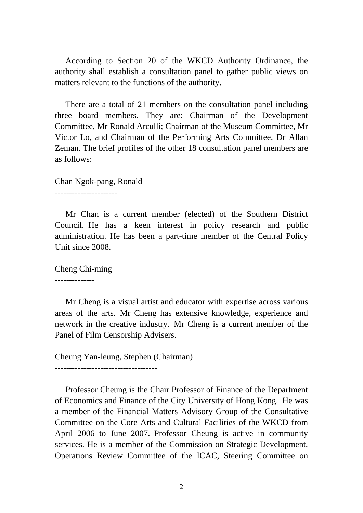According to Section 20 of the WKCD Authority Ordinance, the authority shall establish a consultation panel to gather public views on matters relevant to the functions of the authority.

 There are a total of 21 members on the consultation panel including three board members. They are: Chairman of the Development Committee, Mr Ronald Arculli; Chairman of the Museum Committee, Mr Victor Lo, and Chairman of the Performing Arts Committee, Dr Allan Zeman. The brief profiles of the other 18 consultation panel members are as follows:

Chan Ngok-pang, Ronald

----------------------

 Mr Chan is a current member (elected) of the Southern District Council. He has a keen interest in policy research and public administration. He has been a part-time member of the Central Policy Unit since 2008.

Cheng Chi-ming

--------------

 Mr Cheng is a visual artist and educator with expertise across various areas of the arts. Mr Cheng has extensive knowledge, experience and network in the creative industry. Mr Cheng is a current member of the Panel of Film Censorship Advisers.

Cheung Yan-leung, Stephen (Chairman) ------------------------------------

 Professor Cheung is the Chair Professor of Finance of the Department of Economics and Finance of the City University of Hong Kong. He was a member of the Financial Matters Advisory Group of the Consultative Committee on the Core Arts and Cultural Facilities of the WKCD from April 2006 to June 2007. Professor Cheung is active in community services. He is a member of the Commission on Strategic Development, Operations Review Committee of the ICAC, Steering Committee on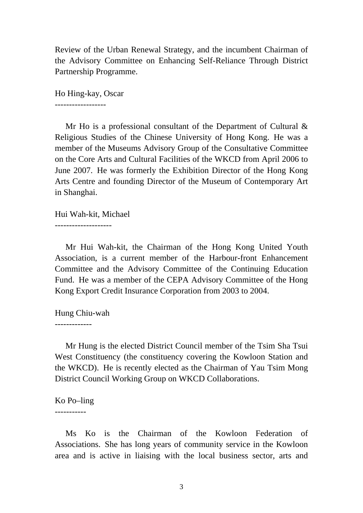Review of the Urban Renewal Strategy, and the incumbent Chairman of the Advisory Committee on Enhancing Self-Reliance Through District Partnership Programme.

Ho Hing-kay, Oscar

------------------

 Mr Ho is a professional consultant of the Department of Cultural & Religious Studies of the Chinese University of Hong Kong. He was a member of the Museums Advisory Group of the Consultative Committee on the Core Arts and Cultural Facilities of the WKCD from April 2006 to June 2007. He was formerly the Exhibition Director of the Hong Kong Arts Centre and founding Director of the Museum of Contemporary Art in Shanghai.

Hui Wah-kit, Michael

--------------------

 Mr Hui Wah-kit, the Chairman of the Hong Kong United Youth Association, is a current member of the Harbour-front Enhancement Committee and the Advisory Committee of the Continuing Education Fund. He was a member of the CEPA Advisory Committee of the Hong Kong Export Credit Insurance Corporation from 2003 to 2004.

Hung Chiu-wah

-------------

 Mr Hung is the elected District Council member of the Tsim Sha Tsui West Constituency (the constituency covering the Kowloon Station and the WKCD). He is recently elected as the Chairman of Yau Tsim Mong District Council Working Group on WKCD Collaborations.

Ko Po–ling

-----------

 Ms Ko is the Chairman of the Kowloon Federation of Associations. She has long years of community service in the Kowloon area and is active in liaising with the local business sector, arts and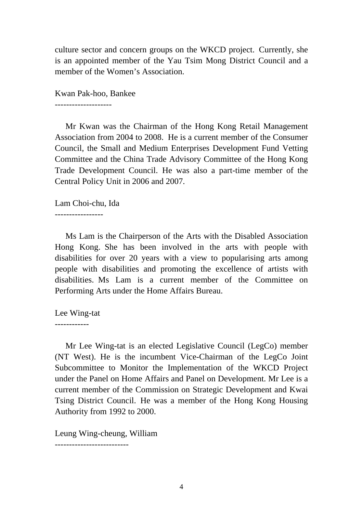culture sector and concern groups on the WKCD project. Currently, she is an appointed member of the Yau Tsim Mong District Council and a member of the Women's Association.

Kwan Pak-hoo, Bankee

--------------------

 Mr Kwan was the Chairman of the Hong Kong Retail Management Association from 2004 to 2008. He is a current member of the Consumer Council, the Small and Medium Enterprises Development Fund Vetting Committee and the China Trade Advisory Committee of the Hong Kong Trade Development Council. He was also a part-time member of the Central Policy Unit in 2006 and 2007.

Lam Choi-chu, Ida

-----------------

 Ms Lam is the Chairperson of the Arts with the Disabled Association Hong Kong. She has been involved in the arts with people with disabilities for over 20 years with a view to popularising arts among people with disabilities and promoting the excellence of artists with disabilities. Ms Lam is a current member of the Committee on Performing Arts under the Home Affairs Bureau.

Lee Wing-tat

------------

 Mr Lee Wing-tat is an elected Legislative Council (LegCo) member (NT West). He is the incumbent Vice-Chairman of the LegCo Joint Subcommittee to Monitor the Implementation of the WKCD Project under the Panel on Home Affairs and Panel on Development. Mr Lee is a current member of the Commission on Strategic Development and Kwai Tsing District Council. He was a member of the Hong Kong Housing Authority from 1992 to 2000.

Leung Wing-cheung, William

--------------------------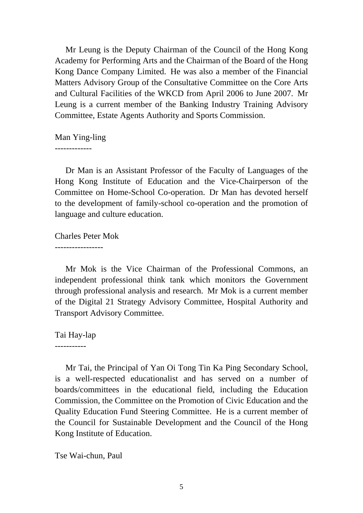Mr Leung is the Deputy Chairman of the Council of the Hong Kong Academy for Performing Arts and the Chairman of the Board of the Hong Kong Dance Company Limited. He was also a member of the Financial Matters Advisory Group of the Consultative Committee on the Core Arts and Cultural Facilities of the WKCD from April 2006 to June 2007. Mr Leung is a current member of the Banking Industry Training Advisory Committee, Estate Agents Authority and Sports Commission.

Man Ying-ling

-------------

 Dr Man is an Assistant Professor of the Faculty of Languages of the Hong Kong Institute of Education and the Vice-Chairperson of the Committee on Home-School Co-operation. Dr Man has devoted herself to the development of family-school co-operation and the promotion of language and culture education.

Charles Peter Mok

-----------------

 Mr Mok is the Vice Chairman of the Professional Commons, an independent professional think tank which monitors the Government through professional analysis and research. Mr Mok is a current member of the Digital 21 Strategy Advisory Committee, Hospital Authority and Transport Advisory Committee.

Tai Hay-lap

-----------

 Mr Tai, the Principal of Yan Oi Tong Tin Ka Ping Secondary School, is a well-respected educationalist and has served on a number of boards/committees in the educational field, including the Education Commission, the Committee on the Promotion of Civic Education and the Quality Education Fund Steering Committee. He is a current member of the Council for Sustainable Development and the Council of the Hong Kong Institute of Education.

Tse Wai-chun, Paul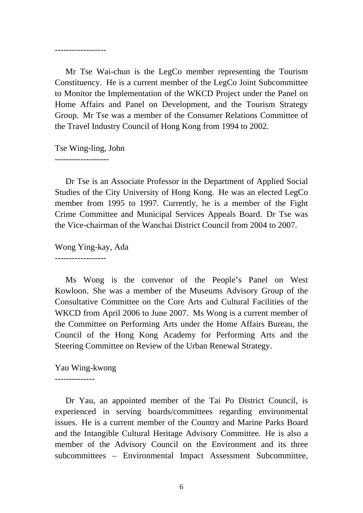------------------

 Mr Tse Wai-chun is the LegCo member representing the Tourism Constituency. He is a current member of the LegCo Joint Subcommittee to Monitor the Implementation of the WKCD Project under the Panel on Home Affairs and Panel on Development, and the Tourism Strategy Group. Mr Tse was a member of the Consumer Relations Committee of the Travel Industry Council of Hong Kong from 1994 to 2002.

Tse Wing-ling, John

-------------------

 Dr Tse is an Associate Professor in the Department of Applied Social Studies of the City University of Hong Kong. He was an elected LegCo member from 1995 to 1997. Currently, he is a member of the Fight Crime Committee and Municipal Services Appeals Board. Dr Tse was the Vice-chairman of the Wanchai District Council from 2004 to 2007.

Wong Ying-kay, Ada

------------------

 Ms Wong is the convenor of the People's Panel on West Kowloon. She was a member of the Museums Advisory Group of the Consultative Committee on the Core Arts and Cultural Facilities of the WKCD from April 2006 to June 2007. Ms Wong is a current member of the Committee on Performing Arts under the Home Affairs Bureau, the Council of the Hong Kong Academy for Performing Arts and the Steering Committee on Review of the Urban Renewal Strategy.

Yau Wing-kwong

--------------

 Dr Yau, an appointed member of the Tai Po District Council, is experienced in serving boards/committees regarding environmental issues. He is a current member of the Country and Marine Parks Board and the Intangible Cultural Heritage Advisory Committee. He is also a member of the Advisory Council on the Environment and its three subcommittees – Environmental Impact Assessment Subcommittee,